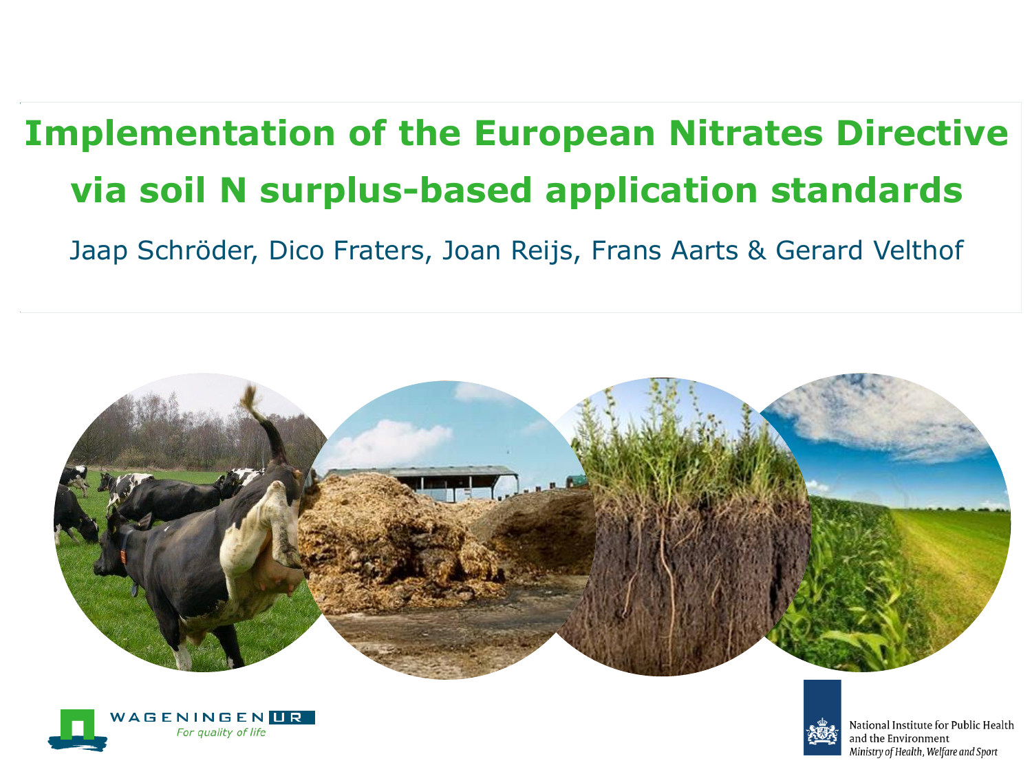# **Implementation of the European Nitrates Directive via soil N surplus-based application standards**

Jaap Schröder, Dico Fraters, Joan Reijs, Frans Aarts & Gerard Velthof







National Institute for Public Health and the Environment Ministry of Health, Welfare and Sport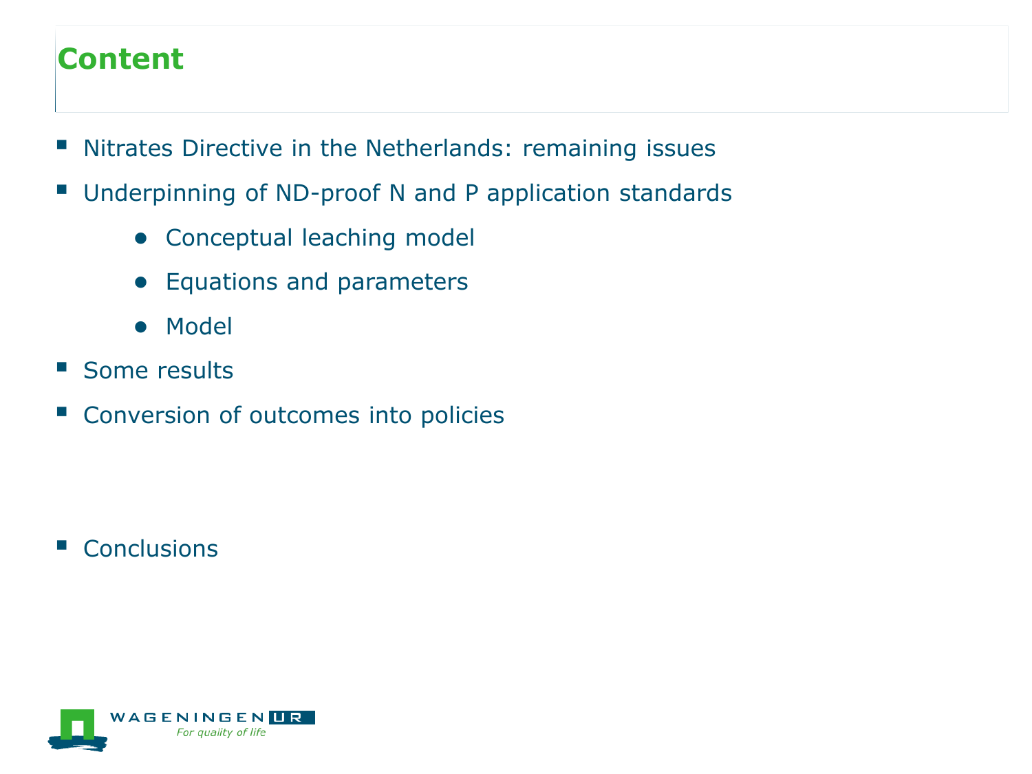## **Content**

- **Nitrates Directive in the Netherlands: remaining issues**
- Underpinning of ND-proof N and P application standards
	- Conceptual leaching model
	- Equations and parameters
	- Model
- Some results
- Conversion of outcomes into policies

Conclusions

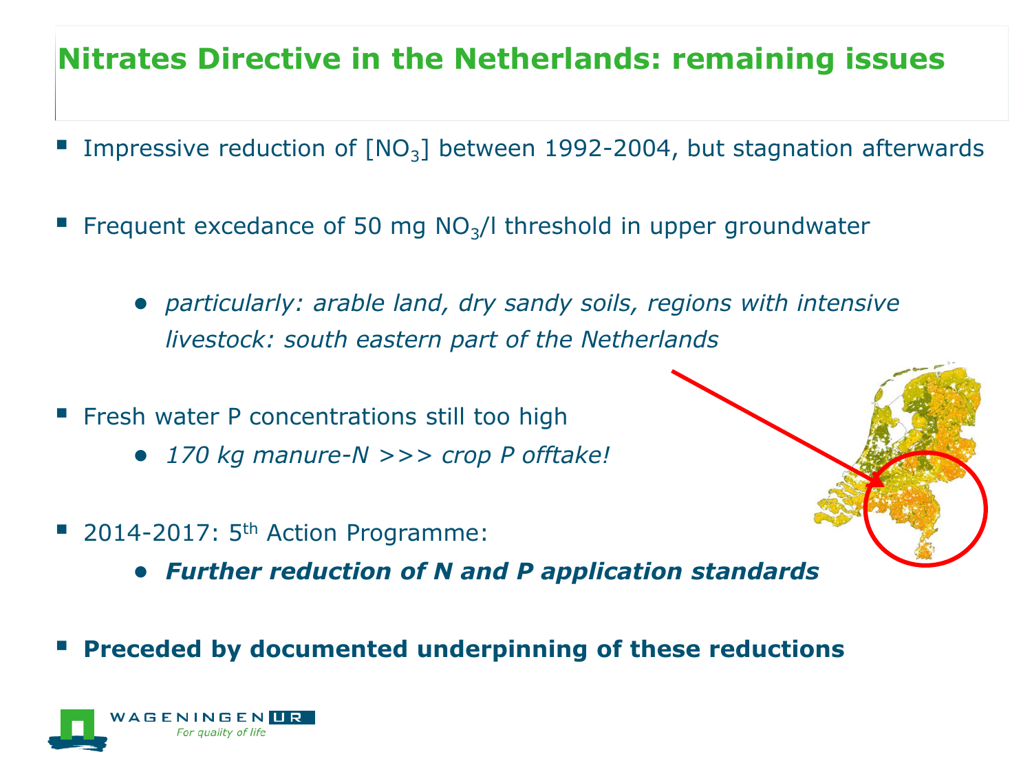# **Nitrates Directive in the Netherlands: remaining issues**

- Impressive reduction of  $[NO<sub>3</sub>]$  between 1992-2004, but stagnation afterwards
- Frequent excedance of 50 mg  $NO<sub>3</sub>/l$  threshold in upper groundwater
	- *particularly: arable land, dry sandy soils, regions with intensive livestock: south eastern part of the Netherlands*
- **Filter Finds** Fresh water P concentrations still too high
	- *170 kg manure-N >>> crop P offtake!*
- $\blacksquare$  2014-2017: 5<sup>th</sup> Action Programme:
	- *Further reduction of N and P application standards*
- **Preceded by documented underpinning of these reductions**

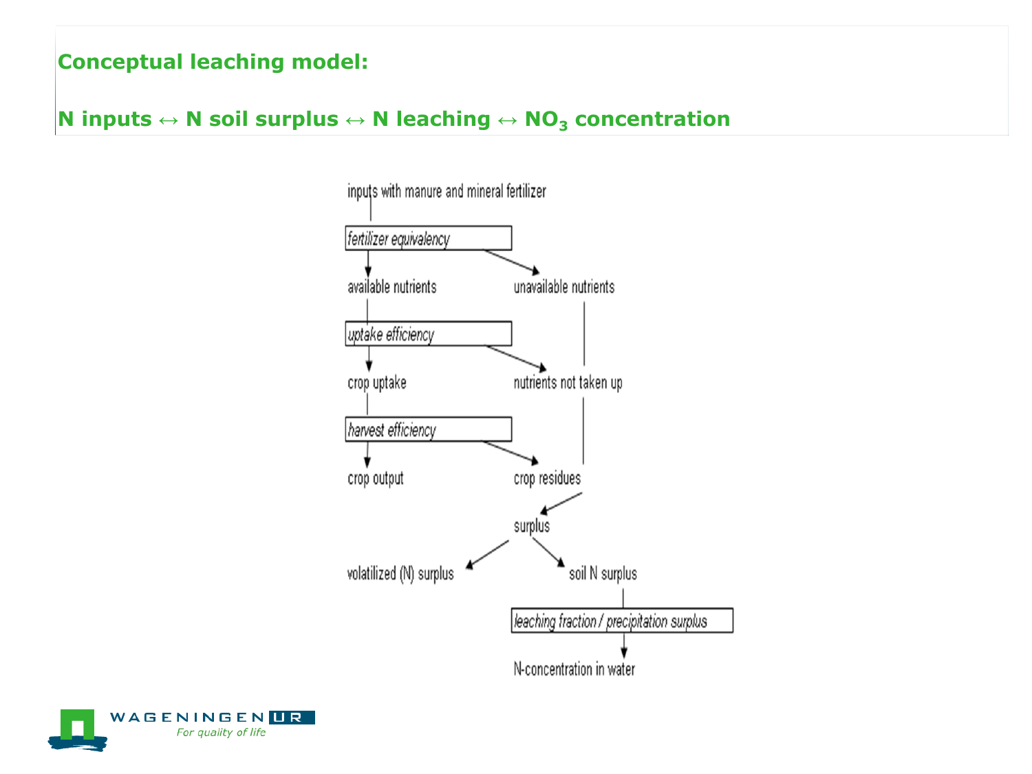### **N inputs ↔ N soil surplus ↔ N leaching ↔ NO<sup>3</sup> concentration**



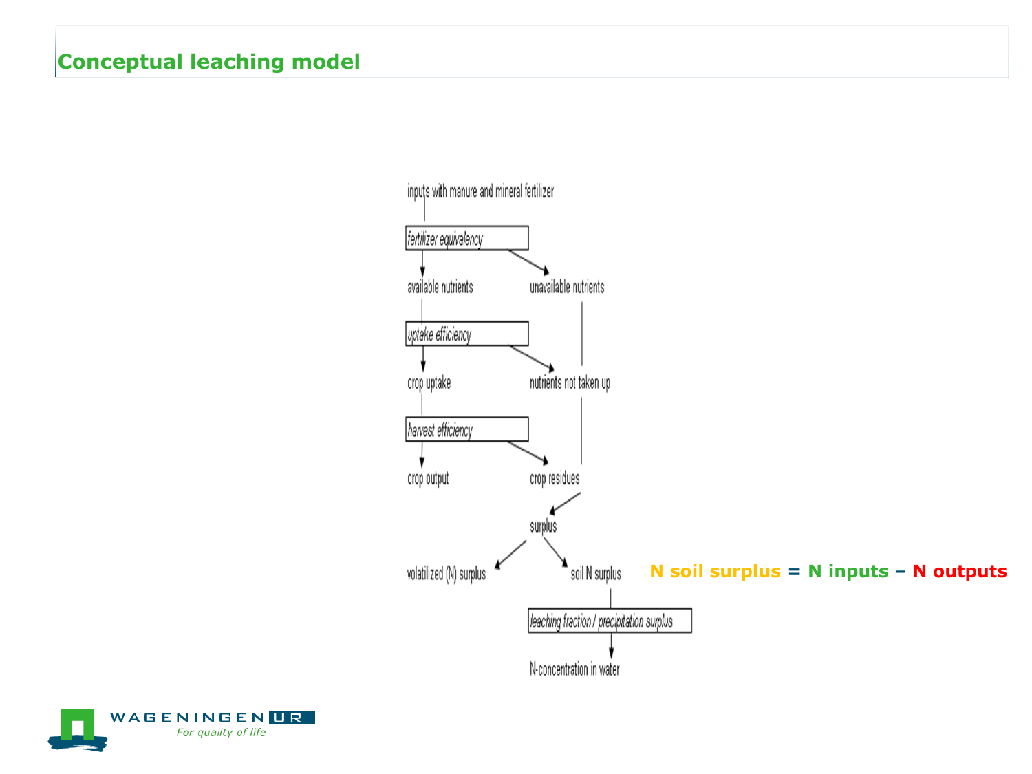

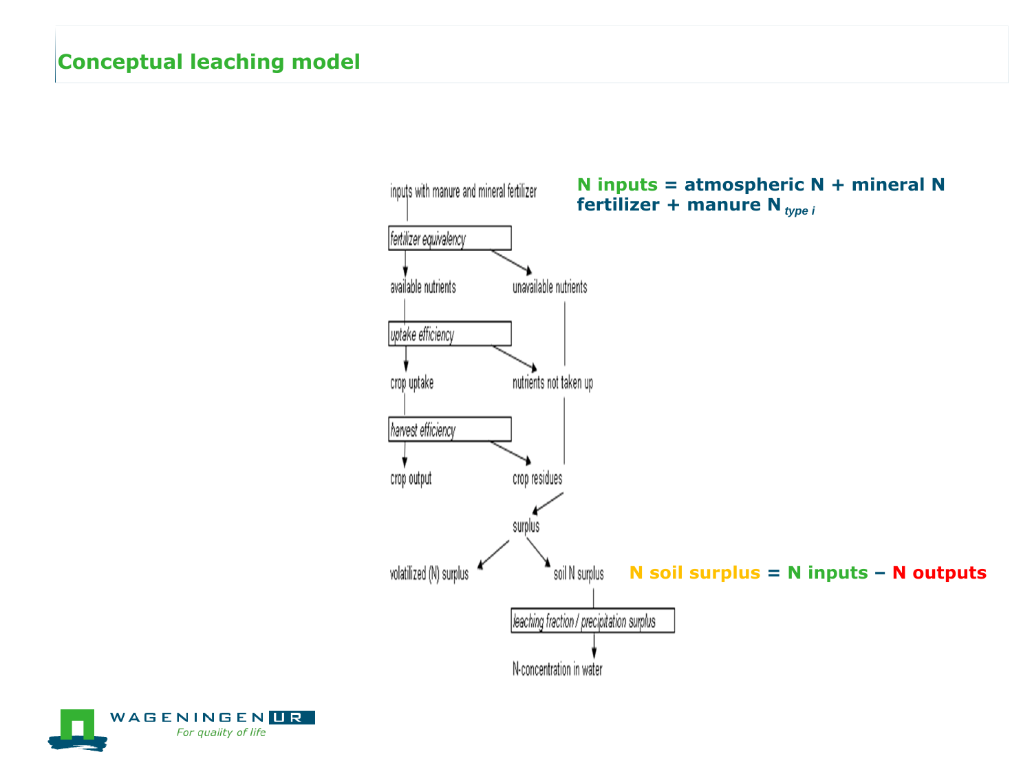

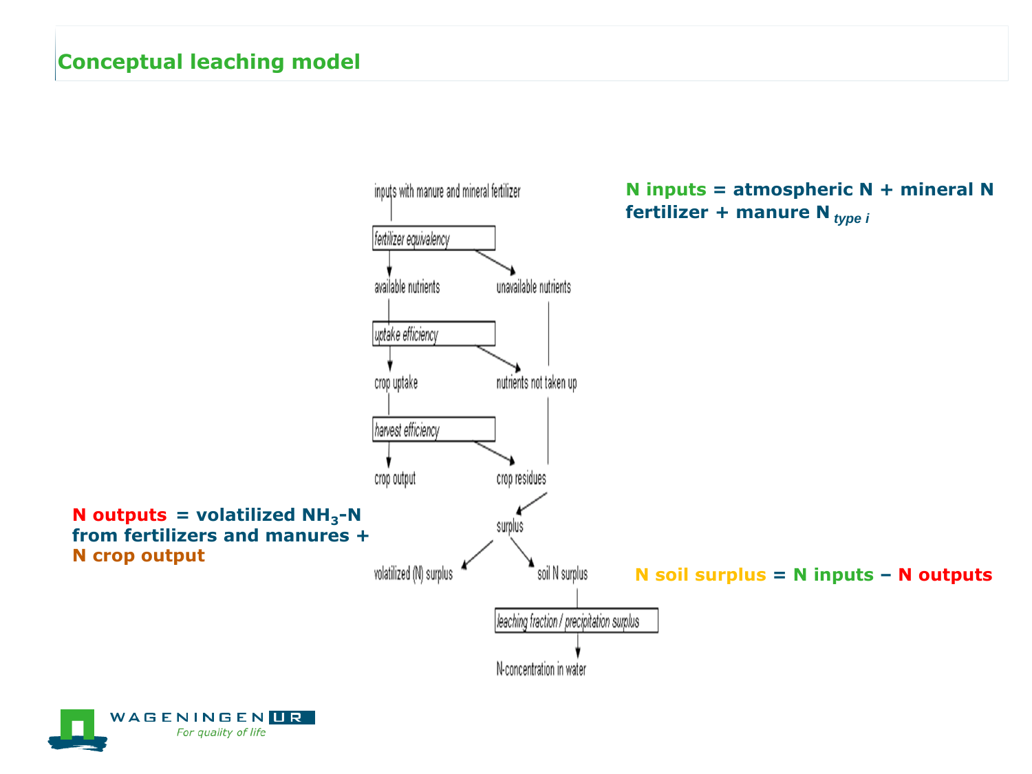

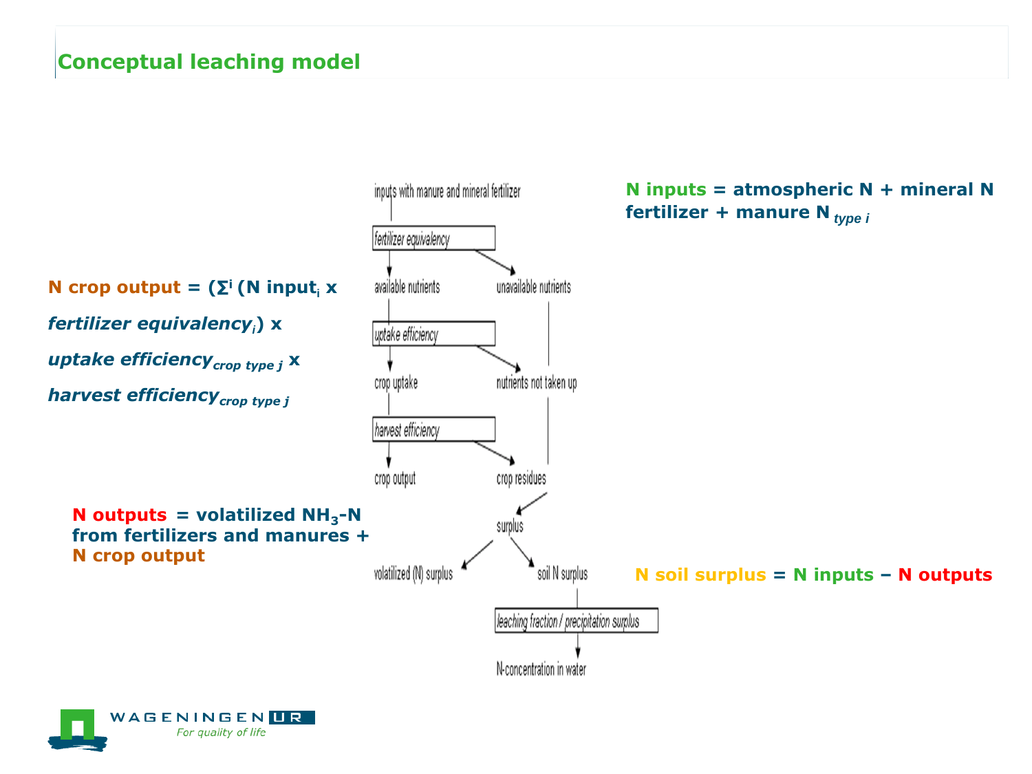

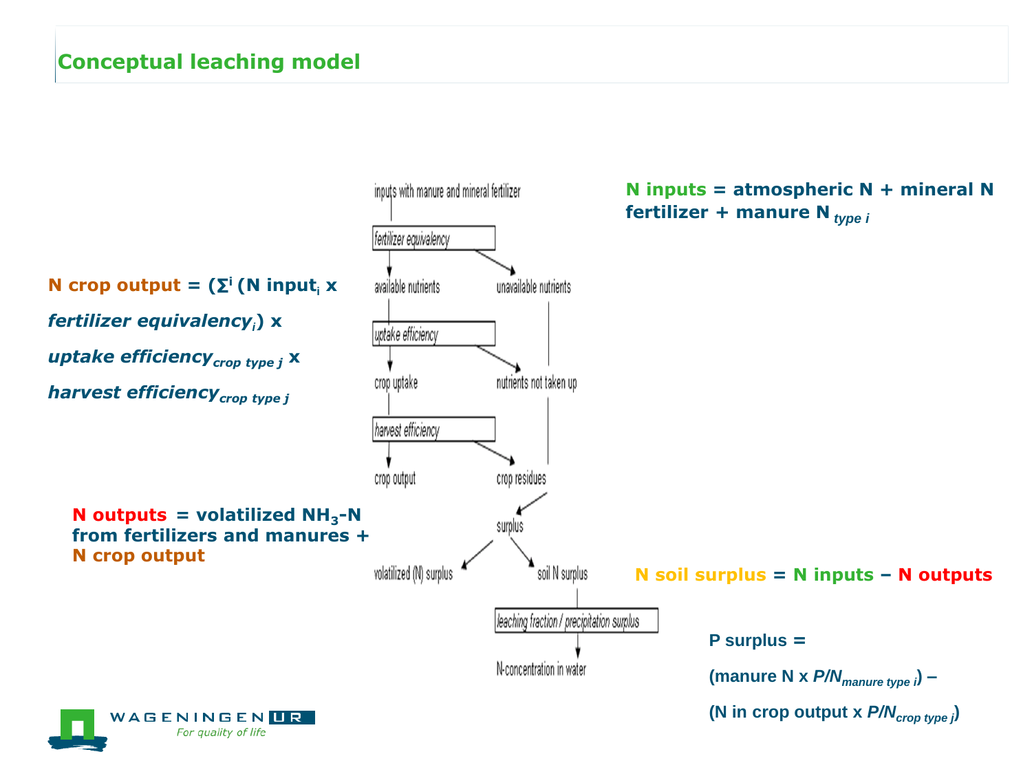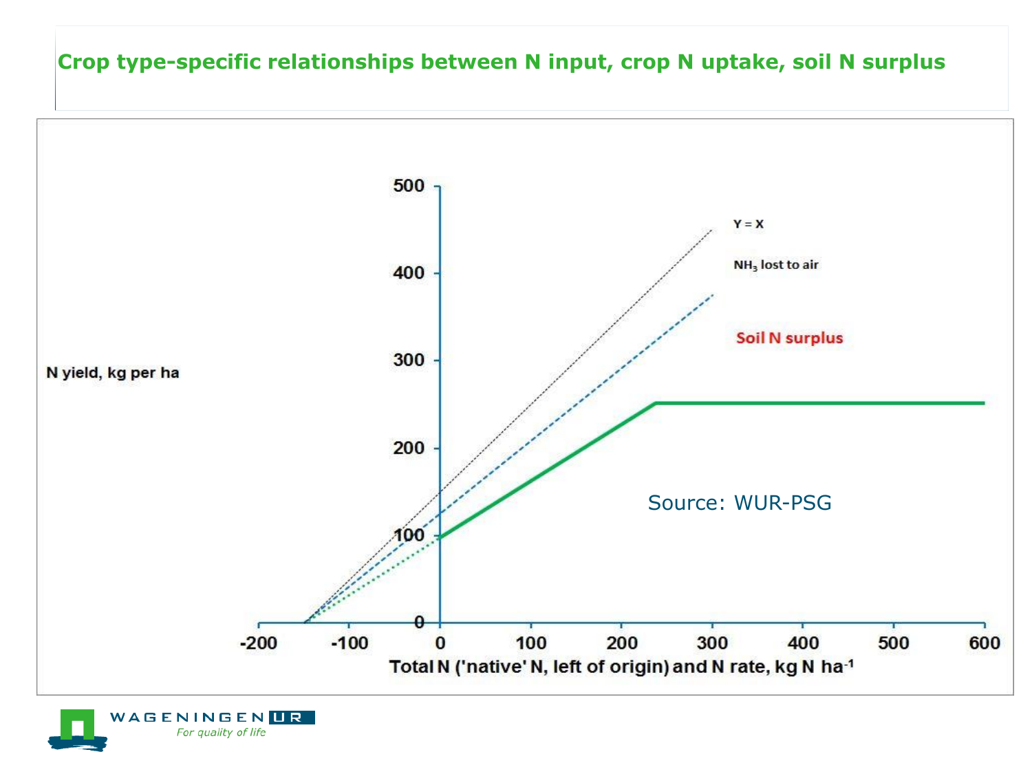#### **Crop type-specific relationships between N input, crop N uptake, soil N surplus**



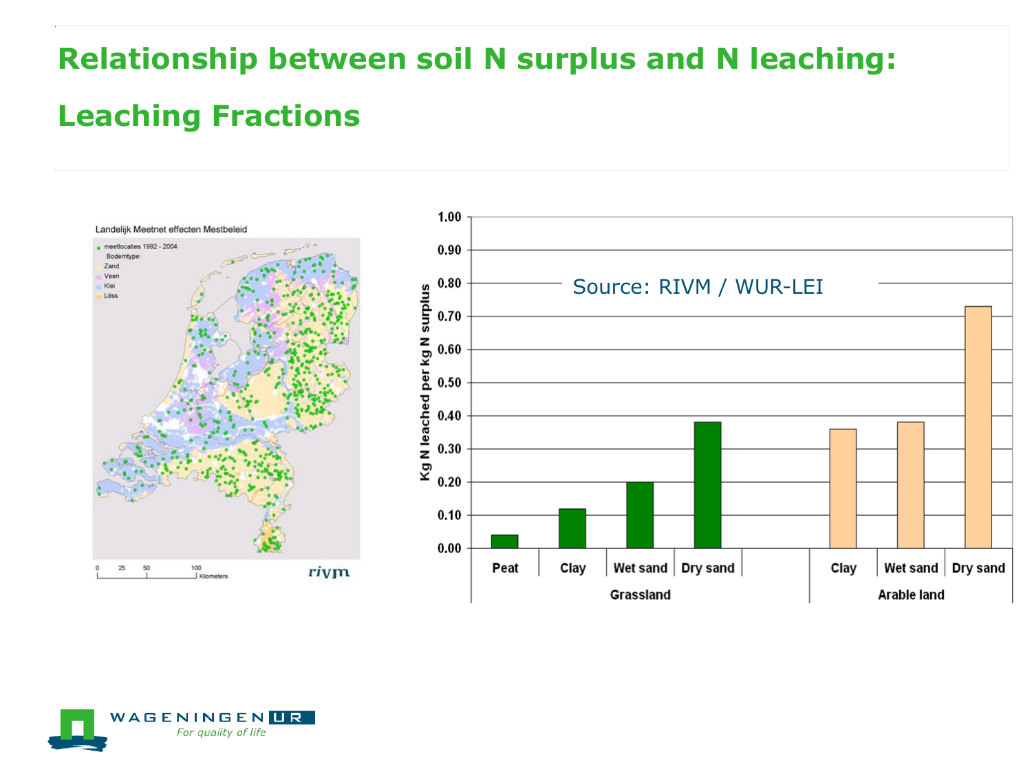# **Relationship between soil N surplus and N leaching:**

### **Leaching Fractions**



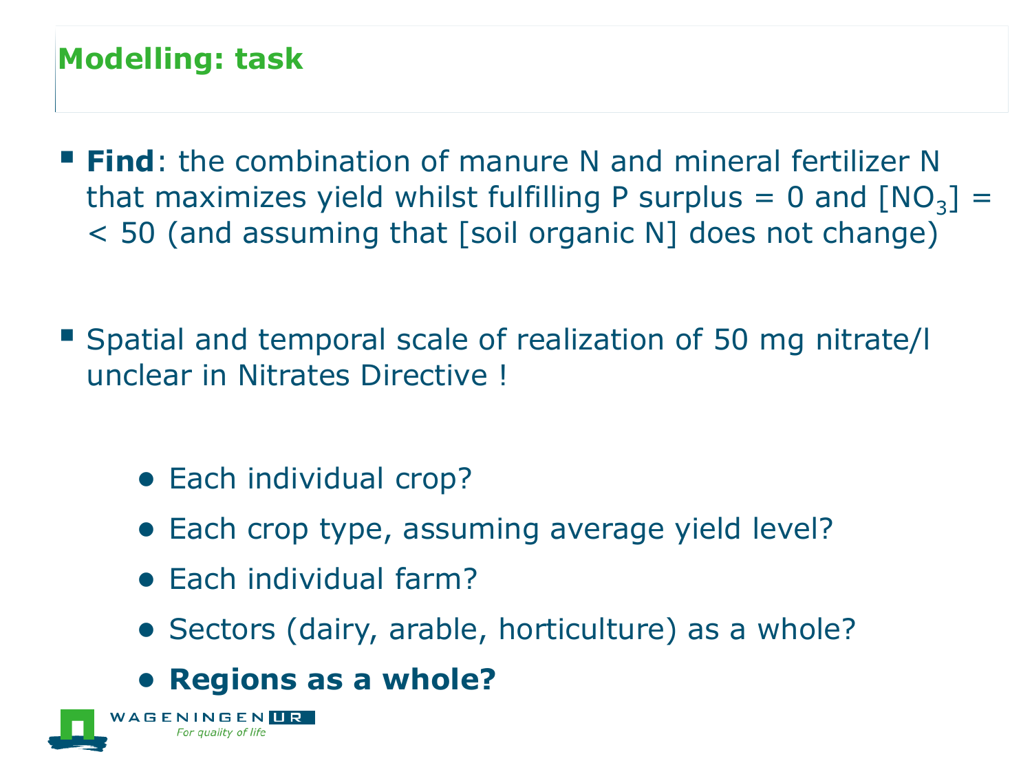# **Modelling: task**

- **Find**: the combination of manure N and mineral fertilizer N that maximizes yield whilst fulfilling P surplus = 0 and  $[NO<sub>3</sub>]$  = < 50 (and assuming that [soil organic N] does not change)
- Spatial and temporal scale of realization of 50 mg nitrate/I unclear in Nitrates Directive !
	- Each individual crop?
	- Each crop type, assuming average yield level?
	- Each individual farm?
	- Sectors (dairy, arable, horticulture) as a whole?
	- **Regions as a whole?**

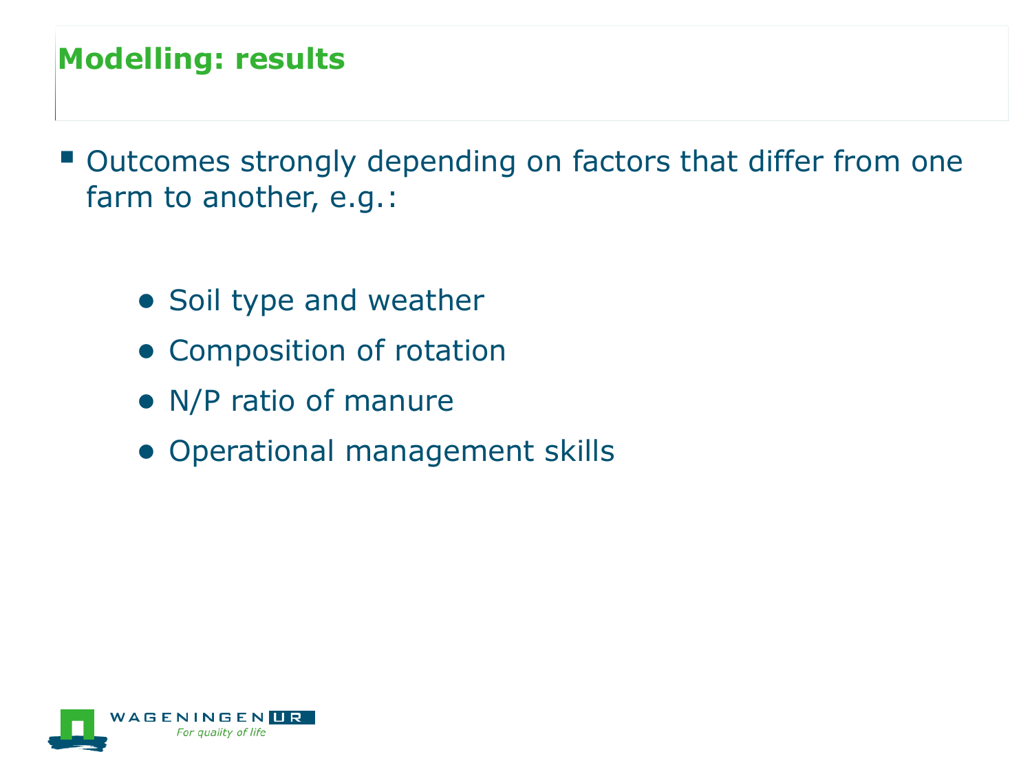# **Modelling: results**

- Outcomes strongly depending on factors that differ from one farm to another, e.g.:
	- Soil type and weather
	- Composition of rotation
	- N/P ratio of manure
	- Operational management skills

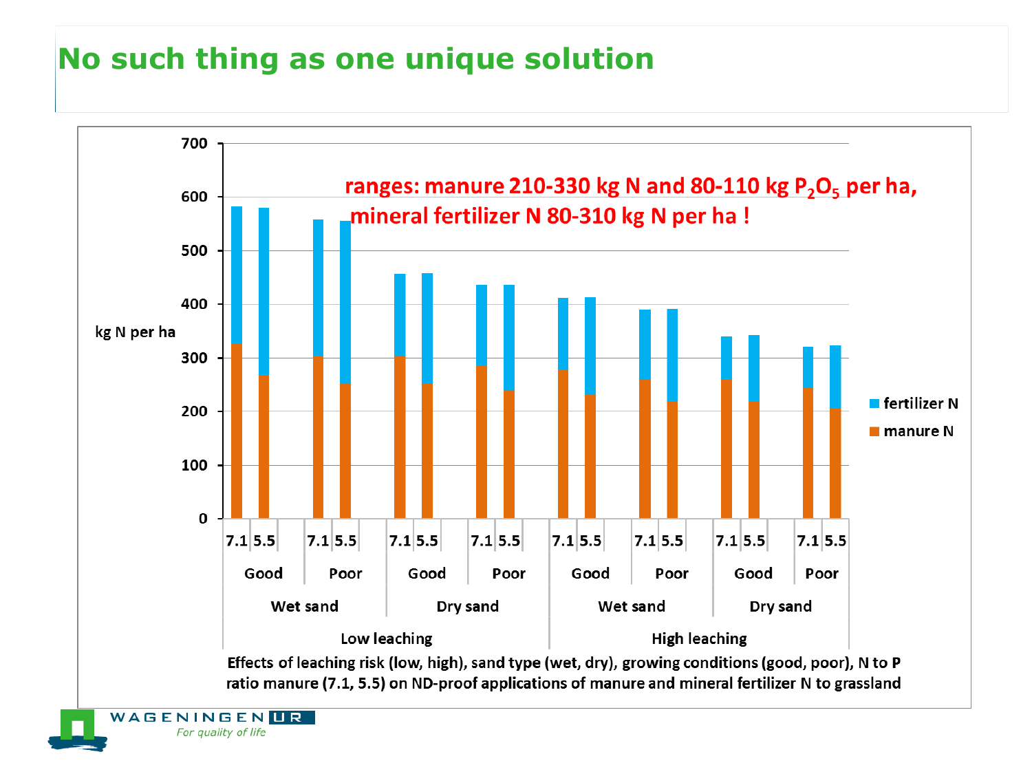# **No such thing as one unique solution**

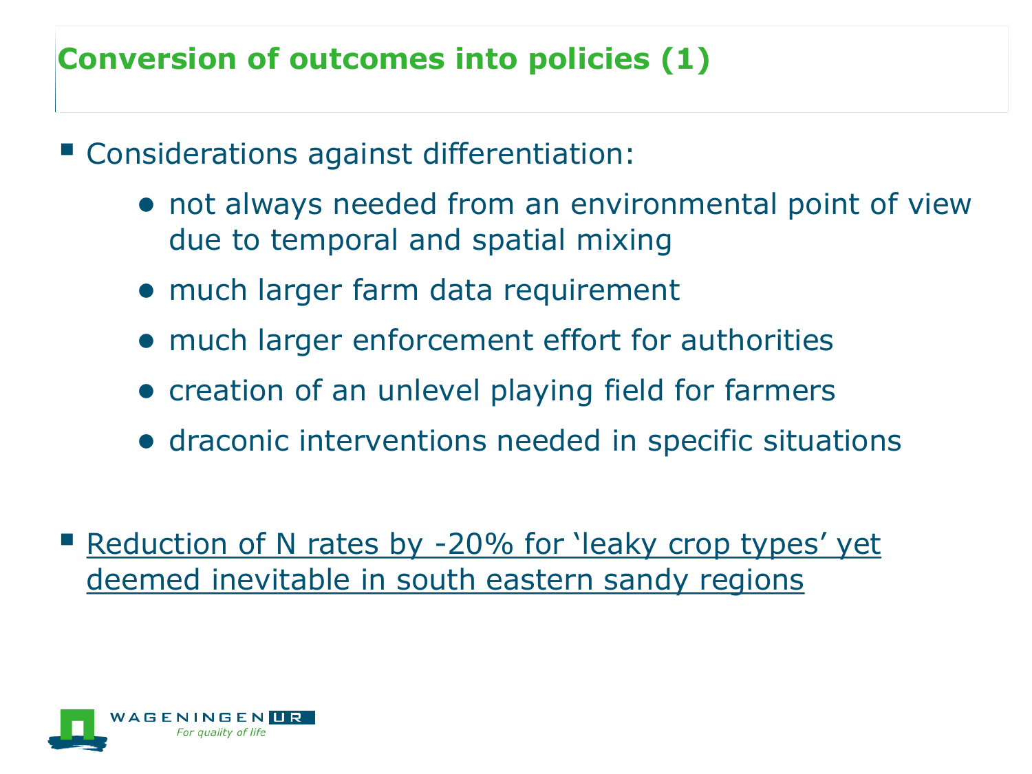# **Conversion of outcomes into policies (1)**

- Considerations against differentiation:
	- not always needed from an environmental point of view due to temporal and spatial mixing
	- much larger farm data requirement
	- much larger enforcement effort for authorities
	- creation of an unlevel playing field for farmers
	- draconic interventions needed in specific situations
- Reduction of N rates by -20% for 'leaky crop types' yet deemed inevitable in south eastern sandy regions

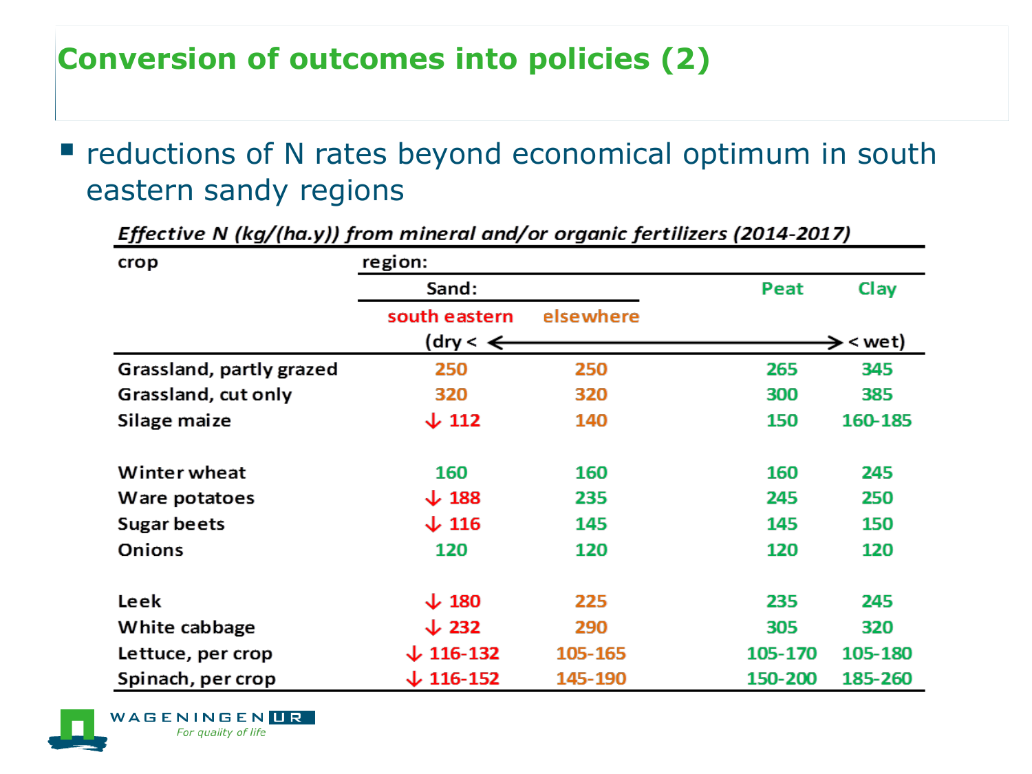# **Conversion of outcomes into policies (2)**

**P** reductions of N rates beyond economical optimum in south eastern sandy regions

| crop                     | region:               |           |         |                      |
|--------------------------|-----------------------|-----------|---------|----------------------|
|                          | Sand:                 |           | Peat    | Clay                 |
|                          | south eastern         | elsewhere |         |                      |
|                          | (dry $\lt \Leftarrow$ |           |         | $\rightarrow$ < wet) |
| Grassland, partly grazed | 250                   | 250       | 265     | 345                  |
| Grassland, cut only      | 320                   | 320       | 300     | 385                  |
| Silage maize             | $\downarrow$ 112      | 140       | 150     | 160-185              |
|                          |                       |           |         |                      |
| Winter wheat             | 160                   | 160       | 160     | 245                  |
| Ware potatoes            | $\downarrow$ 188      | 235       | 245     | 250                  |
| Sugar beets              | $\downarrow$ 116      | 145       | 145     | 150                  |
| <b>Onions</b>            | 120                   | 120       | 120     | 120                  |
|                          |                       |           |         |                      |
| Leek                     | $\downarrow$ 180      | 225       | 235     | 245                  |
| White cabbage            | $\downarrow$ 232      | 290       | 305     | 320                  |
| Lettuce, per crop        | $\downarrow$ 116-132  | 105-165   | 105-170 | 105-180              |
| Spinach, per crop        | $\downarrow$ 116-152  | 145-190   | 150-200 | 185-260              |

Effective N (kg/(ha.y)) from mineral and/or organic fertilizers (2014-2017)

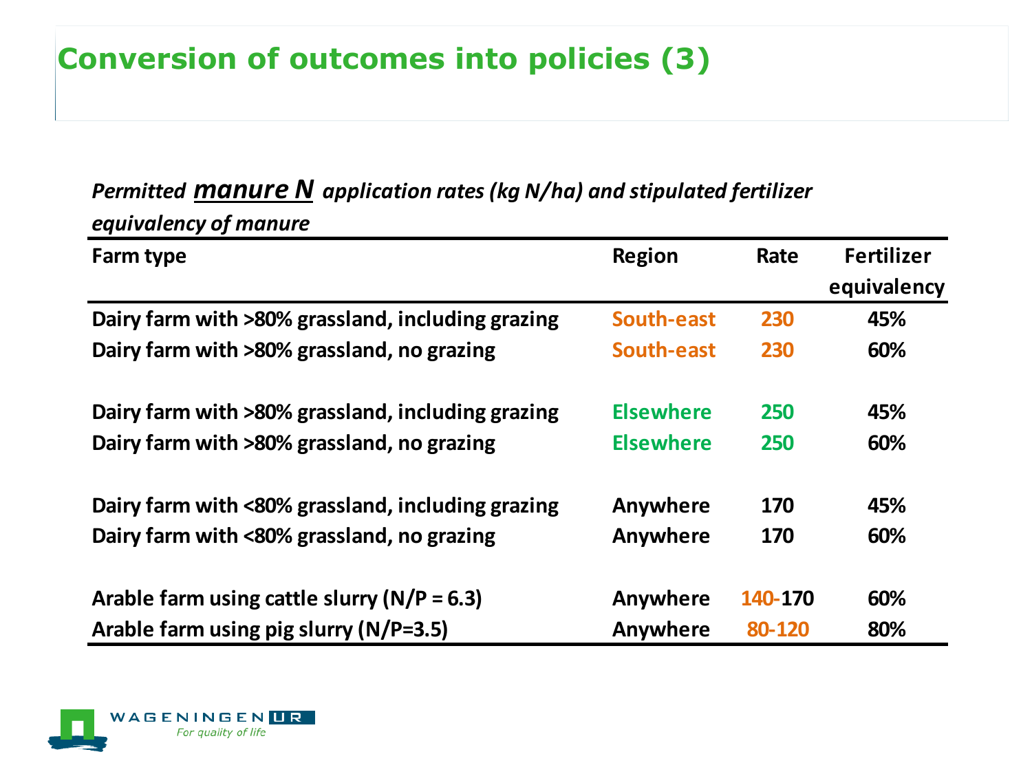# **Conversion of outcomes into policies (3)**

### *Permitted manure N application rates (kg N/ha) and stipulated fertilizer equivalency of manure*

| Farm type                                         | <b>Region</b>    | Rate    | <b>Fertilizer</b><br>equivalency |
|---------------------------------------------------|------------------|---------|----------------------------------|
| Dairy farm with >80% grassland, including grazing | South-east       | 230     | 45%                              |
| Dairy farm with >80% grassland, no grazing        | South-east       | 230     | 60%                              |
| Dairy farm with >80% grassland, including grazing | <b>Elsewhere</b> | 250     | 45%                              |
| Dairy farm with >80% grassland, no grazing        | <b>Elsewhere</b> | 250     | 60%                              |
| Dairy farm with <80% grassland, including grazing | Anywhere         | 170     | 45%                              |
| Dairy farm with <80% grassland, no grazing        | Anywhere         | 170     | 60%                              |
| Arable farm using cattle slurry ( $N/P = 6.3$ )   | Anywhere         | 140-170 | 60%                              |
| Arable farm using pig slurry (N/P=3.5)            | Anywhere         | 80-120  | 80%                              |